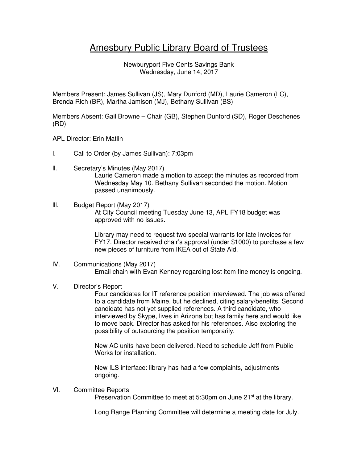# Amesbury Public Library Board of Trustees

Newburyport Five Cents Savings Bank Wednesday, June 14, 2017

Members Present: James Sullivan (JS), Mary Dunford (MD), Laurie Cameron (LC), Brenda Rich (BR), Martha Jamison (MJ), Bethany Sullivan (BS)

Members Absent: Gail Browne – Chair (GB), Stephen Dunford (SD), Roger Deschenes (RD)

- APL Director: Erin Matlin
- l. Call to Order (by James Sullivan): 7:03pm
- ll. Secretary's Minutes (May 2017) Laurie Cameron made a motion to accept the minutes as recorded from Wednesday May 10. Bethany Sullivan seconded the motion. Motion passed unanimously.

## lll. Budget Report (May 2017) At City Council meeting Tuesday June 13, APL FY18 budget was approved with no issues.

Library may need to request two special warrants for late invoices for FY17. Director received chair's approval (under \$1000) to purchase a few new pieces of furniture from IKEA out of State Aid.

## lV. Communications (May 2017) Email chain with Evan Kenney regarding lost item fine money is ongoing.

### V. Director's Report

Four candidates for IT reference position interviewed. The job was offered to a candidate from Maine, but he declined, citing salary/benefits. Second candidate has not yet supplied references. A third candidate, who interviewed by Skype, lives in Arizona but has family here and would like to move back. Director has asked for his references. Also exploring the possibility of outsourcing the position temporarily.

New AC units have been delivered. Need to schedule Jeff from Public Works for installation.

New ILS interface: library has had a few complaints, adjustments ongoing.

#### Vl. Committee Reports

Preservation Committee to meet at 5:30pm on June 21<sup>st</sup> at the library.

Long Range Planning Committee will determine a meeting date for July.